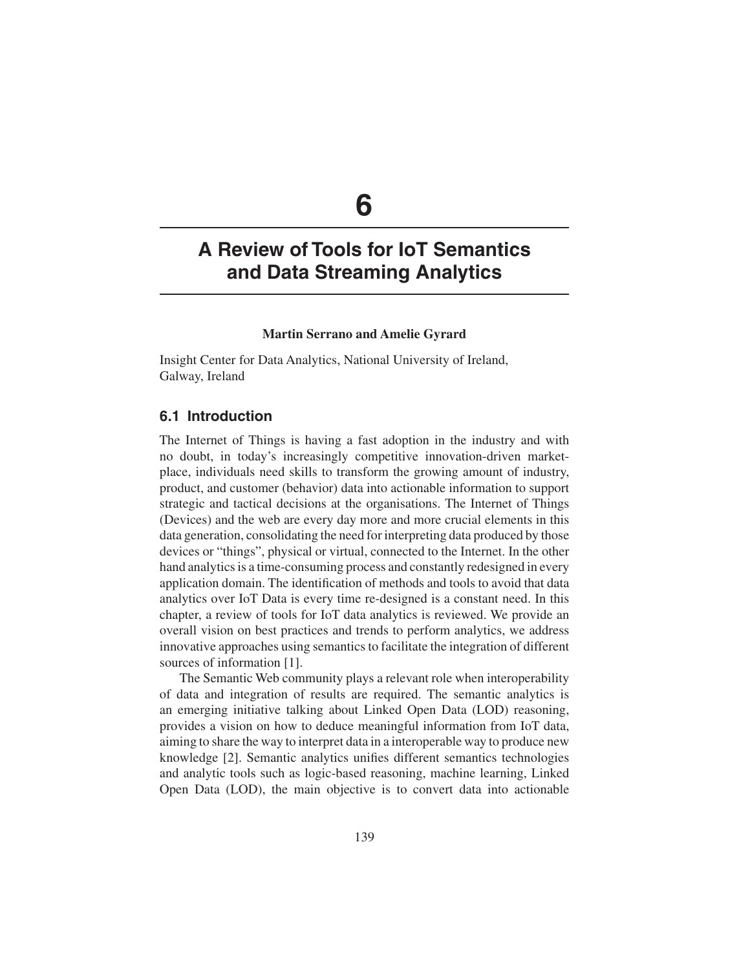# **6**

## **A Review of Tools for IoT Semantics and Data Streaming Analytics**

## **Martin Serrano and Amelie Gyrard**

Insight Center for Data Analytics, National University of Ireland, Galway, Ireland

## **6.1 Introduction**

The Internet of Things is having a fast adoption in the industry and with no doubt, in today's increasingly competitive innovation-driven marketplace, individuals need skills to transform the growing amount of industry, product, and customer (behavior) data into actionable information to support strategic and tactical decisions at the organisations. The Internet of Things (Devices) and the web are every day more and more crucial elements in this data generation, consolidating the need for interpreting data produced by those devices or "things", physical or virtual, connected to the Internet. In the other hand analytics is a time-consuming process and constantly redesigned in every application domain. The identification of methods and tools to avoid that data analytics over IoT Data is every time re-designed is a constant need. In this chapter, a review of tools for IoT data analytics is reviewed. We provide an overall vision on best practices and trends to perform analytics, we address innovative approaches using semantics to facilitate the integration of different sources of information [1].

The Semantic Web community plays a relevant role when interoperability of data and integration of results are required. The semantic analytics is an emerging initiative talking about Linked Open Data (LOD) reasoning, provides a vision on how to deduce meaningful information from IoT data, aiming to share the way to interpret data in a interoperable way to produce new knowledge [2]. Semantic analytics unifies different semantics technologies and analytic tools such as logic-based reasoning, machine learning, Linked Open Data (LOD), the main objective is to convert data into actionable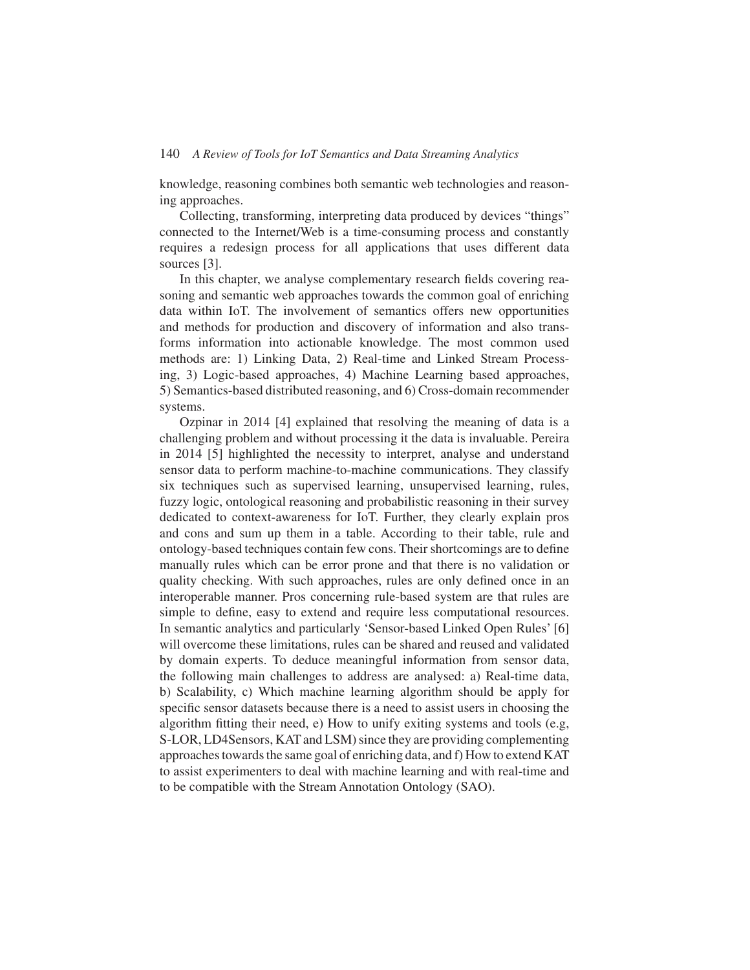knowledge, reasoning combines both semantic web technologies and reasoning approaches.

Collecting, transforming, interpreting data produced by devices "things" connected to the Internet/Web is a time-consuming process and constantly requires a redesign process for all applications that uses different data sources [3].

In this chapter, we analyse complementary research fields covering reasoning and semantic web approaches towards the common goal of enriching data within IoT. The involvement of semantics offers new opportunities and methods for production and discovery of information and also transforms information into actionable knowledge. The most common used methods are: 1) Linking Data, 2) Real-time and Linked Stream Processing, 3) Logic-based approaches, 4) Machine Learning based approaches, 5) Semantics-based distributed reasoning, and 6) Cross-domain recommender systems.

Ozpinar in 2014 [4] explained that resolving the meaning of data is a challenging problem and without processing it the data is invaluable. Pereira in 2014 [5] highlighted the necessity to interpret, analyse and understand sensor data to perform machine-to-machine communications. They classify six techniques such as supervised learning, unsupervised learning, rules, fuzzy logic, ontological reasoning and probabilistic reasoning in their survey dedicated to context-awareness for IoT. Further, they clearly explain pros and cons and sum up them in a table. According to their table, rule and ontology-based techniques contain few cons. Their shortcomings are to define manually rules which can be error prone and that there is no validation or quality checking. With such approaches, rules are only defined once in an interoperable manner. Pros concerning rule-based system are that rules are simple to define, easy to extend and require less computational resources. In semantic analytics and particularly 'Sensor-based Linked Open Rules' [6] will overcome these limitations, rules can be shared and reused and validated by domain experts. To deduce meaningful information from sensor data, the following main challenges to address are analysed: a) Real-time data, b) Scalability, c) Which machine learning algorithm should be apply for specific sensor datasets because there is a need to assist users in choosing the algorithm fitting their need, e) How to unify exiting systems and tools (e.g, S-LOR, LD4Sensors, KAT and LSM) since they are providing complementing approaches towards the same goal of enriching data, and f) How to extend KAT to assist experimenters to deal with machine learning and with real-time and to be compatible with the Stream Annotation Ontology (SAO).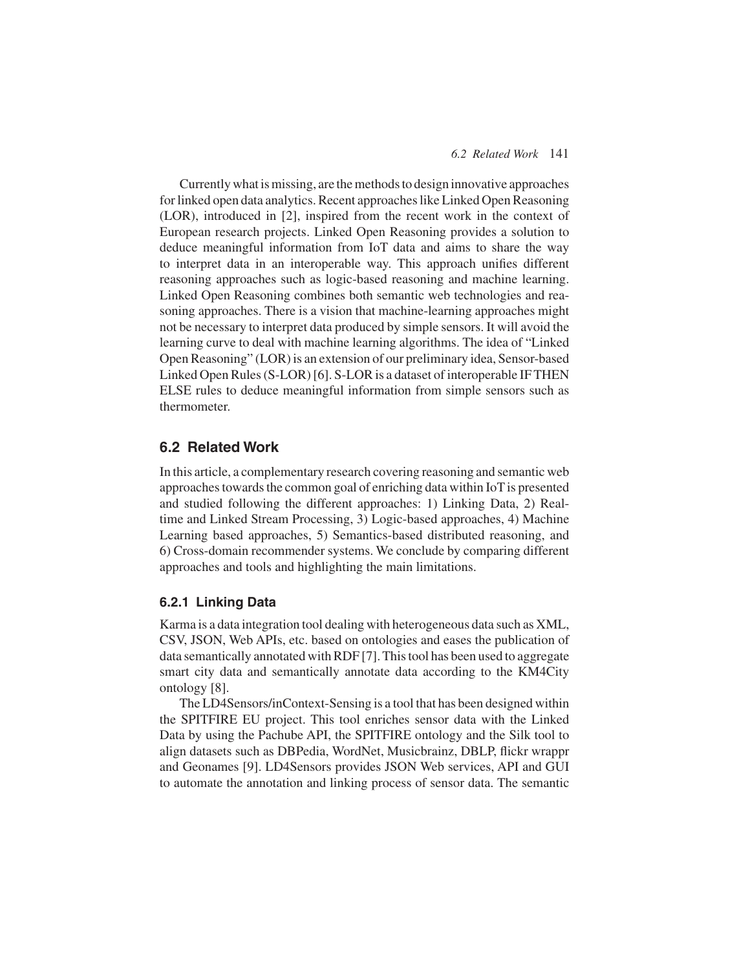#### *6.2 Related Work* 141

Currently what is missing, are the methods to design innovative approaches for linked open data analytics. Recent approaches like Linked Open Reasoning (LOR), introduced in [2], inspired from the recent work in the context of European research projects. Linked Open Reasoning provides a solution to deduce meaningful information from IoT data and aims to share the way to interpret data in an interoperable way. This approach unifies different reasoning approaches such as logic-based reasoning and machine learning. Linked Open Reasoning combines both semantic web technologies and reasoning approaches. There is a vision that machine-learning approaches might not be necessary to interpret data produced by simple sensors. It will avoid the learning curve to deal with machine learning algorithms. The idea of "Linked Open Reasoning" (LOR) is an extension of our preliminary idea, Sensor-based Linked Open Rules (S-LOR) [6]. S-LOR is a dataset of interoperable IF THEN ELSE rules to deduce meaningful information from simple sensors such as thermometer.

## **6.2 Related Work**

In this article, a complementary research covering reasoning and semantic web approaches towards the common goal of enriching data within IoT is presented and studied following the different approaches: 1) Linking Data, 2) Realtime and Linked Stream Processing, 3) Logic-based approaches, 4) Machine Learning based approaches, 5) Semantics-based distributed reasoning, and 6) Cross-domain recommender systems. We conclude by comparing different approaches and tools and highlighting the main limitations.

#### **6.2.1 Linking Data**

Karma is a data integration tool dealing with heterogeneous data such as XML, CSV, JSON, Web APIs, etc. based on ontologies and eases the publication of data semantically annotated with RDF [7]. This tool has been used to aggregate smart city data and semantically annotate data according to the KM4City ontology [8].

The LD4Sensors/inContext-Sensing is a tool that has been designed within the SPITFIRE EU project. This tool enriches sensor data with the Linked Data by using the Pachube API, the SPITFIRE ontology and the Silk tool to align datasets such as DBPedia, WordNet, Musicbrainz, DBLP, flickr wrappr and Geonames [9]. LD4Sensors provides JSON Web services, API and GUI to automate the annotation and linking process of sensor data. The semantic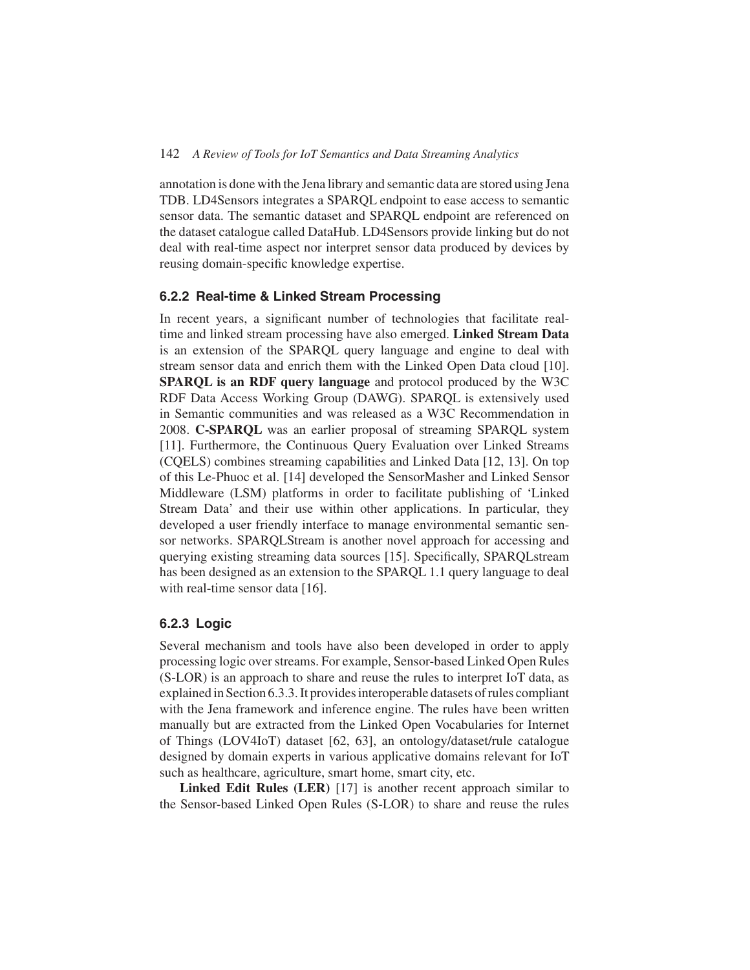annotation is done with the Jena library and semantic data are stored using Jena TDB. LD4Sensors integrates a SPARQL endpoint to ease access to semantic sensor data. The semantic dataset and SPARQL endpoint are referenced on the dataset catalogue called DataHub. LD4Sensors provide linking but do not deal with real-time aspect nor interpret sensor data produced by devices by reusing domain-specific knowledge expertise.

#### **6.2.2 Real-time & Linked Stream Processing**

In recent years, a significant number of technologies that facilitate realtime and linked stream processing have also emerged. **Linked Stream Data** is an extension of the SPARQL query language and engine to deal with stream sensor data and enrich them with the Linked Open Data cloud [10]. **SPARQL is an RDF query language** and protocol produced by the W3C RDF Data Access Working Group (DAWG). SPARQL is extensively used in Semantic communities and was released as a W3C Recommendation in 2008. **C-SPARQL** was an earlier proposal of streaming SPARQL system [11]. Furthermore, the Continuous Query Evaluation over Linked Streams (CQELS) combines streaming capabilities and Linked Data [12, 13]. On top of this Le-Phuoc et al. [14] developed the SensorMasher and Linked Sensor Middleware (LSM) platforms in order to facilitate publishing of 'Linked Stream Data' and their use within other applications. In particular, they developed a user friendly interface to manage environmental semantic sensor networks. SPARQLStream is another novel approach for accessing and querying existing streaming data sources [15]. Specifically, SPARQLstream has been designed as an extension to the SPARQL 1.1 query language to deal with real-time sensor data [16].

#### **6.2.3 Logic**

Several mechanism and tools have also been developed in order to apply processing logic over streams. For example, Sensor-based Linked Open Rules (S-LOR) is an approach to share and reuse the rules to interpret IoT data, as explained in Section 6.3.3. It provides interoperable datasets of rules compliant with the Jena framework and inference engine. The rules have been written manually but are extracted from the Linked Open Vocabularies for Internet of Things (LOV4IoT) dataset [62, 63], an ontology/dataset/rule catalogue designed by domain experts in various applicative domains relevant for IoT such as healthcare, agriculture, smart home, smart city, etc.

**Linked Edit Rules (LER)** [17] is another recent approach similar to the Sensor-based Linked Open Rules (S-LOR) to share and reuse the rules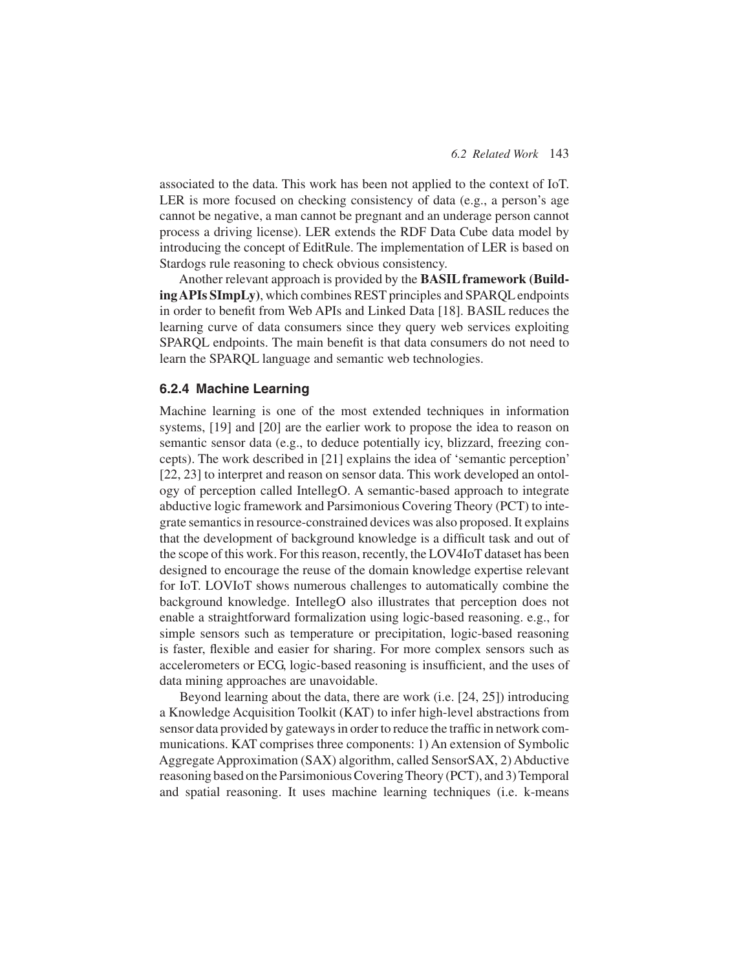associated to the data. This work has been not applied to the context of IoT. LER is more focused on checking consistency of data (e.g., a person's age cannot be negative, a man cannot be pregnant and an underage person cannot process a driving license). LER extends the RDF Data Cube data model by introducing the concept of EditRule. The implementation of LER is based on Stardogs rule reasoning to check obvious consistency.

Another relevant approach is provided by the **BASIL framework (BuildingAPIs SImpLy)**, which combines REST principles and SPARQL endpoints in order to benefit from Web APIs and Linked Data [18]. BASIL reduces the learning curve of data consumers since they query web services exploiting SPARQL endpoints. The main benefit is that data consumers do not need to learn the SPARQL language and semantic web technologies.

#### **6.2.4 Machine Learning**

Machine learning is one of the most extended techniques in information systems, [19] and [20] are the earlier work to propose the idea to reason on semantic sensor data (e.g., to deduce potentially icy, blizzard, freezing concepts). The work described in [21] explains the idea of 'semantic perception' [22, 23] to interpret and reason on sensor data. This work developed an ontology of perception called IntellegO. A semantic-based approach to integrate abductive logic framework and Parsimonious Covering Theory (PCT) to integrate semantics in resource-constrained devices was also proposed. It explains that the development of background knowledge is a difficult task and out of the scope of this work. For this reason, recently, the LOV4IoT dataset has been designed to encourage the reuse of the domain knowledge expertise relevant for IoT. LOVIoT shows numerous challenges to automatically combine the background knowledge. IntellegO also illustrates that perception does not enable a straightforward formalization using logic-based reasoning. e.g., for simple sensors such as temperature or precipitation, logic-based reasoning is faster, flexible and easier for sharing. For more complex sensors such as accelerometers or ECG, logic-based reasoning is insufficient, and the uses of data mining approaches are unavoidable.

Beyond learning about the data, there are work (i.e. [24, 25]) introducing a Knowledge Acquisition Toolkit (KAT) to infer high-level abstractions from sensor data provided by gateways in order to reduce the traffic in network communications. KAT comprises three components: 1) An extension of Symbolic Aggregate Approximation (SAX) algorithm, called SensorSAX, 2) Abductive reasoning based on the Parsimonious Covering Theory (PCT), and 3) Temporal and spatial reasoning. It uses machine learning techniques (i.e. k-means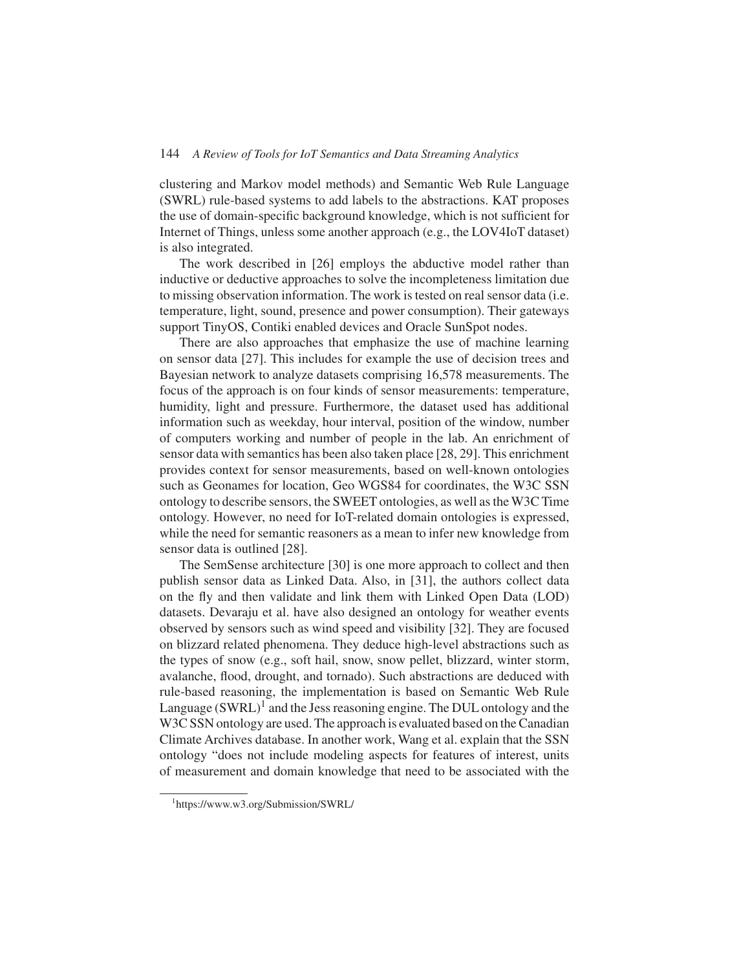clustering and Markov model methods) and Semantic Web Rule Language (SWRL) rule-based systems to add labels to the abstractions. KAT proposes the use of domain-specific background knowledge, which is not sufficient for Internet of Things, unless some another approach (e.g., the LOV4IoT dataset) is also integrated.

The work described in [26] employs the abductive model rather than inductive or deductive approaches to solve the incompleteness limitation due to missing observation information. The work is tested on real sensor data (i.e. temperature, light, sound, presence and power consumption). Their gateways support TinyOS, Contiki enabled devices and Oracle SunSpot nodes.

There are also approaches that emphasize the use of machine learning on sensor data [27]. This includes for example the use of decision trees and Bayesian network to analyze datasets comprising 16,578 measurements. The focus of the approach is on four kinds of sensor measurements: temperature, humidity, light and pressure. Furthermore, the dataset used has additional information such as weekday, hour interval, position of the window, number of computers working and number of people in the lab. An enrichment of sensor data with semantics has been also taken place [28, 29]. This enrichment provides context for sensor measurements, based on well-known ontologies such as Geonames for location, Geo WGS84 for coordinates, the W3C SSN ontology to describe sensors, the SWEET ontologies, as well as theW3C Time ontology. However, no need for IoT-related domain ontologies is expressed, while the need for semantic reasoners as a mean to infer new knowledge from sensor data is outlined [28].

The SemSense architecture [30] is one more approach to collect and then publish sensor data as Linked Data. Also, in [31], the authors collect data on the fly and then validate and link them with Linked Open Data (LOD) datasets. Devaraju et al. have also designed an ontology for weather events observed by sensors such as wind speed and visibility [32]. They are focused on blizzard related phenomena. They deduce high-level abstractions such as the types of snow (e.g., soft hail, snow, snow pellet, blizzard, winter storm, avalanche, flood, drought, and tornado). Such abstractions are deduced with rule-based reasoning, the implementation is based on Semantic Web Rule Language  $(SWRL)^1$  and the Jess reasoning engine. The DUL ontology and the W<sub>3</sub>C SSN ontology are used. The approach is evaluated based on the Canadian Climate Archives database. In another work, Wang et al. explain that the SSN ontology "does not include modeling aspects for features of interest, units of measurement and domain knowledge that need to be associated with the

<sup>1</sup> https://www.w3.org/Submission/SWRL/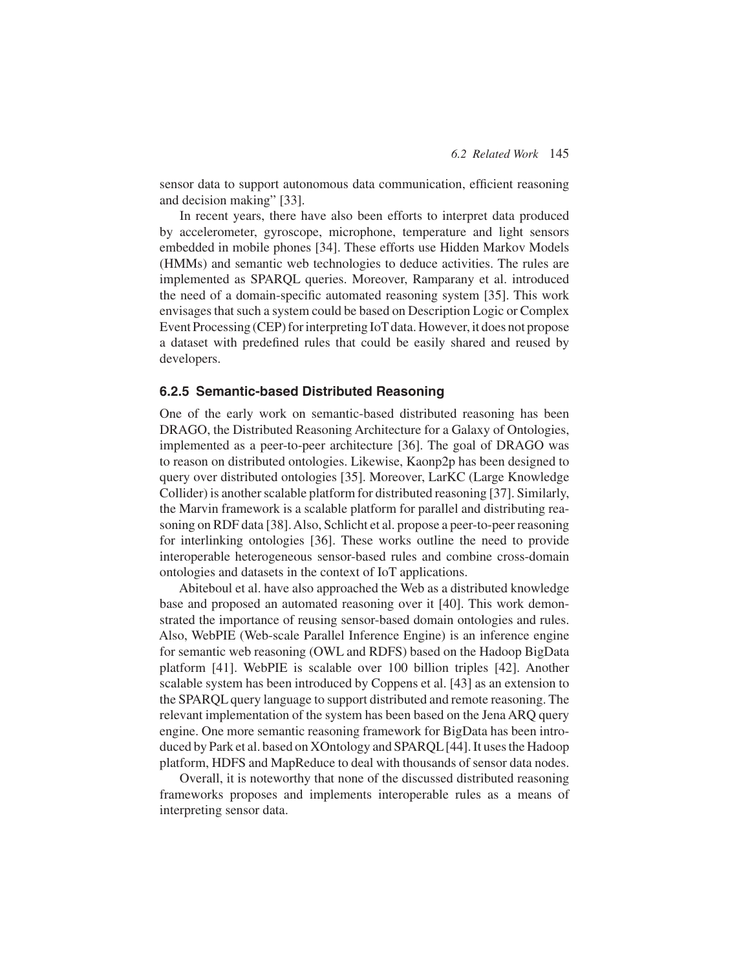sensor data to support autonomous data communication, efficient reasoning and decision making" [33].

In recent years, there have also been efforts to interpret data produced by accelerometer, gyroscope, microphone, temperature and light sensors embedded in mobile phones [34]. These efforts use Hidden Markov Models (HMMs) and semantic web technologies to deduce activities. The rules are implemented as SPARQL queries. Moreover, Ramparany et al. introduced the need of a domain-specific automated reasoning system [35]. This work envisages that such a system could be based on Description Logic or Complex Event Processing (CEP) for interpreting IoT data. However, it does not propose a dataset with predefined rules that could be easily shared and reused by developers.

#### **6.2.5 Semantic-based Distributed Reasoning**

One of the early work on semantic-based distributed reasoning has been DRAGO, the Distributed Reasoning Architecture for a Galaxy of Ontologies, implemented as a peer-to-peer architecture [36]. The goal of DRAGO was to reason on distributed ontologies. Likewise, Kaonp2p has been designed to query over distributed ontologies [35]. Moreover, LarKC (Large Knowledge Collider) is another scalable platform for distributed reasoning [37]. Similarly, the Marvin framework is a scalable platform for parallel and distributing reasoning on RDF data [38].Also, Schlicht et al. propose a peer-to-peer reasoning for interlinking ontologies [36]. These works outline the need to provide interoperable heterogeneous sensor-based rules and combine cross-domain ontologies and datasets in the context of IoT applications.

Abiteboul et al. have also approached the Web as a distributed knowledge base and proposed an automated reasoning over it [40]. This work demonstrated the importance of reusing sensor-based domain ontologies and rules. Also, WebPIE (Web-scale Parallel Inference Engine) is an inference engine for semantic web reasoning (OWL and RDFS) based on the Hadoop BigData platform [41]. WebPIE is scalable over 100 billion triples [42]. Another scalable system has been introduced by Coppens et al. [43] as an extension to the SPARQL query language to support distributed and remote reasoning. The relevant implementation of the system has been based on the Jena ARQ query engine. One more semantic reasoning framework for BigData has been introduced by Park et al. based on XOntology and SPARQL [44]. It uses the Hadoop platform, HDFS and MapReduce to deal with thousands of sensor data nodes.

Overall, it is noteworthy that none of the discussed distributed reasoning frameworks proposes and implements interoperable rules as a means of interpreting sensor data.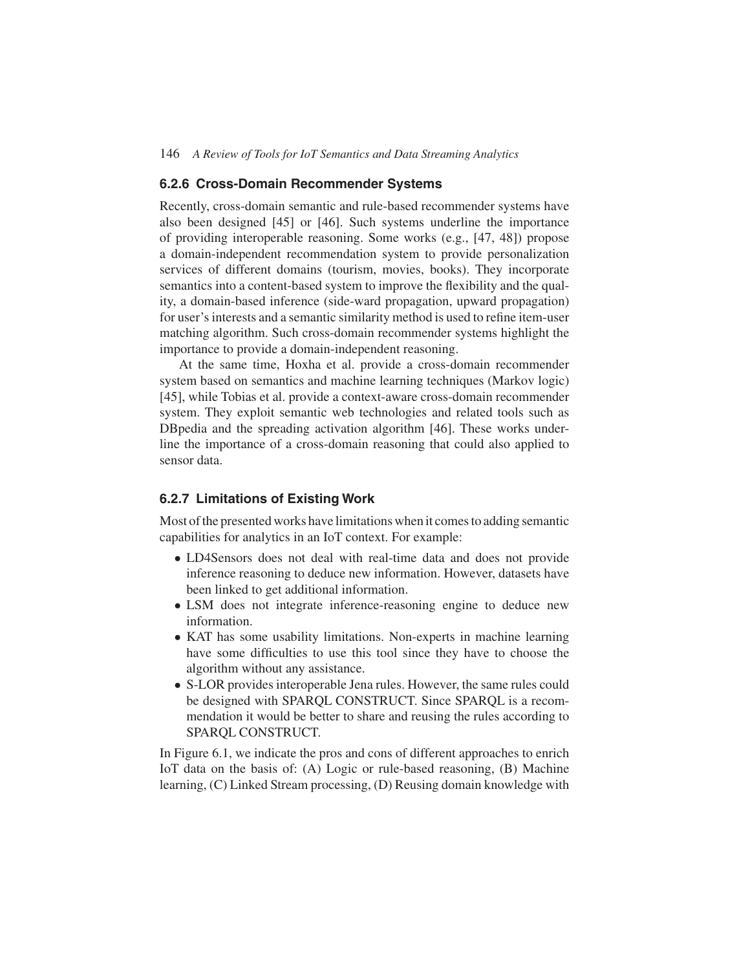#### **6.2.6 Cross-Domain Recommender Systems**

Recently, cross-domain semantic and rule-based recommender systems have also been designed [45] or [46]. Such systems underline the importance of providing interoperable reasoning. Some works (e.g., [47, 48]) propose a domain-independent recommendation system to provide personalization services of different domains (tourism, movies, books). They incorporate semantics into a content-based system to improve the flexibility and the quality, a domain-based inference (side-ward propagation, upward propagation) for user's interests and a semantic similarity method is used to refine item-user matching algorithm. Such cross-domain recommender systems highlight the importance to provide a domain-independent reasoning.

At the same time, Hoxha et al. provide a cross-domain recommender system based on semantics and machine learning techniques (Markov logic) [45], while Tobias et al. provide a context-aware cross-domain recommender system. They exploit semantic web technologies and related tools such as DBpedia and the spreading activation algorithm [46]. These works underline the importance of a cross-domain reasoning that could also applied to sensor data.

#### **6.2.7 Limitations of Existing Work**

Most of the presented works have limitations when it comes to adding semantic capabilities for analytics in an IoT context. For example:

- LD4Sensors does not deal with real-time data and does not provide inference reasoning to deduce new information. However, datasets have been linked to get additional information.
- LSM does not integrate inference-reasoning engine to deduce new information.
- KAT has some usability limitations. Non-experts in machine learning have some difficulties to use this tool since they have to choose the algorithm without any assistance.
- S-LOR provides interoperable Jena rules. However, the same rules could be designed with SPARQL CONSTRUCT. Since SPARQL is a recommendation it would be better to share and reusing the rules according to SPARQL CONSTRUCT.

In Figure 6.1, we indicate the pros and cons of different approaches to enrich IoT data on the basis of: (A) Logic or rule-based reasoning, (B) Machine learning, (C) Linked Stream processing, (D) Reusing domain knowledge with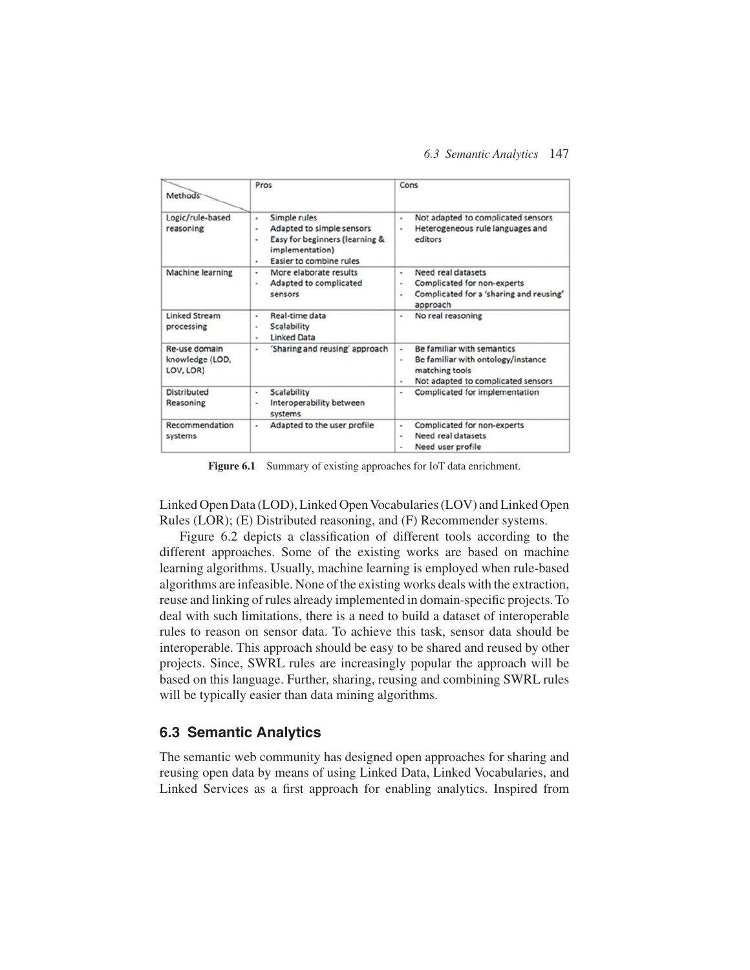#### *6.3 Semantic Analytics* 147

| Methods                                       | Pros                                                                                                                                                 | Cons                                                                                                                                                 |  |  |
|-----------------------------------------------|------------------------------------------------------------------------------------------------------------------------------------------------------|------------------------------------------------------------------------------------------------------------------------------------------------------|--|--|
| Logic/rule-based<br>reasoning                 | Simple rules<br>٠<br>Adapted to simple sensors<br>۰<br>Easy for beginners (learning &<br>٠<br>implementation)<br><b>Easier to combine rules</b><br>۰ | Not adapted to complicated sensors<br>۰<br>Heterogeneous rule languages and<br>۰<br>editors                                                          |  |  |
| Machine learning                              | More elaborate results<br>۰<br>Adapted to complicated<br>٠<br>sensors                                                                                | Need real datasets<br>٠<br>Complicated for non-experts<br>۰<br>Complicated for a 'sharing and reusing'<br>۰<br>approach                              |  |  |
| <b>Linked Stream</b><br>processing            | Real-time data<br>٠<br>Scalability<br>۰<br><b>Linked Data</b><br>۰                                                                                   | No real reasoning<br>۰                                                                                                                               |  |  |
| Re-use domain<br>knowledge (LOD,<br>LOV, LOR) | 'Sharing and reusing' approach<br>۰                                                                                                                  | Be familiar with semantics<br>٠<br>Be familiar with ontology/instance<br>$\blacksquare$<br>matching tools<br>Not adapted to complicated sensors<br>۰ |  |  |
| <b>Distributed</b><br>Reasoning               | Scalability<br>۰<br>Interoperability between<br>۰<br>systems                                                                                         | Complicated for implementation<br>۰                                                                                                                  |  |  |
| Recommendation<br>systems                     | Adapted to the user profile<br>۰                                                                                                                     | Complicated for non-experts<br>۰<br>Need real datasets<br>۰<br>Need user profile<br>۰                                                                |  |  |

Figure 6.1 Summary of existing approaches for IoT data enrichment.

Linked Open Data (LOD), Linked Open Vocabularies (LOV) and Linked Open Rules (LOR); (E) Distributed reasoning, and (F) Recommender systems.

Figure 6.2 depicts a classification of different tools according to the different approaches. Some of the existing works are based on machine learning algorithms. Usually, machine learning is employed when rule-based algorithms are infeasible. None of the existing works deals with the extraction, reuse and linking of rules already implemented in domain-specific projects. To deal with such limitations, there is a need to build a dataset of interoperable rules to reason on sensor data. To achieve this task, sensor data should be interoperable. This approach should be easy to be shared and reused by other projects. Since, SWRL rules are increasingly popular the approach will be based on this language. Further, sharing, reusing and combining SWRL rules will be typically easier than data mining algorithms.

### **6.3 Semantic Analytics**

The semantic web community has designed open approaches for sharing and reusing open data by means of using Linked Data, Linked Vocabularies, and Linked Services as a first approach for enabling analytics. Inspired from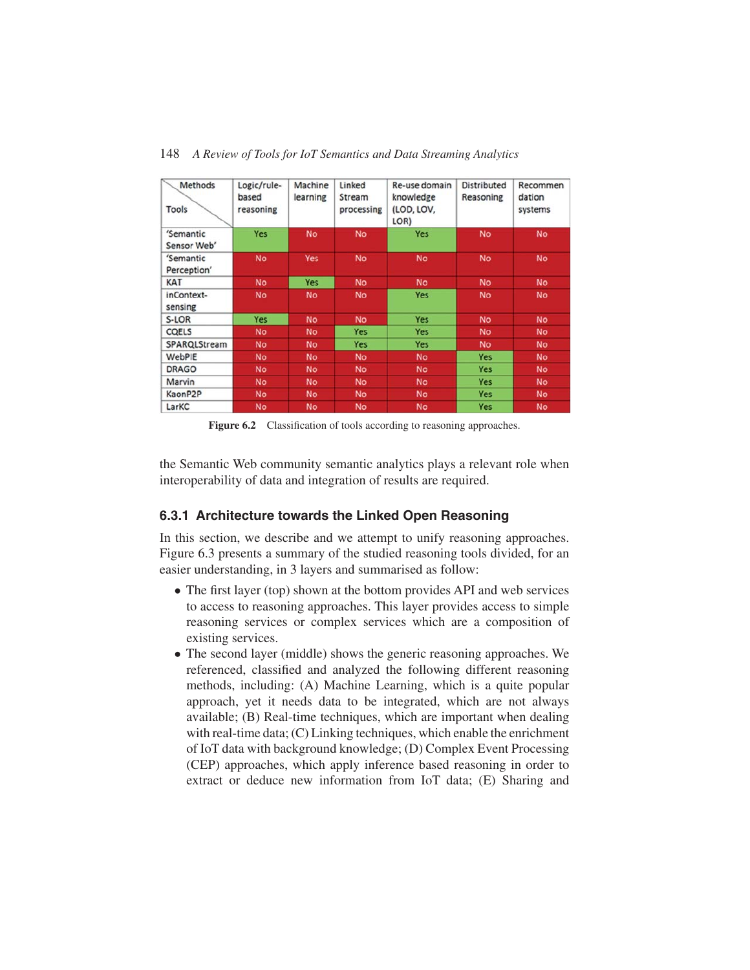| Methods<br>Tools         | Logic/rule-<br>based<br>reasoning | Machine<br>learning | Linked<br>Stream<br>processing | Re-use domain<br>knowledge<br>(LOD, LOV,<br>LOR) | <b>Distributed</b><br>Reasoning | Recommen<br>dation<br>systems |
|--------------------------|-----------------------------------|---------------------|--------------------------------|--------------------------------------------------|---------------------------------|-------------------------------|
| 'Semantic<br>Sensor Web' | Yes                               | <b>No</b>           | <b>No</b>                      | <b>Yes</b>                                       | <b>No</b>                       | <b>No</b>                     |
| 'Semantic<br>Perception' | <b>No</b>                         | <b>Yes</b>          | <b>No</b>                      | <b>No</b>                                        | <b>No</b>                       | <b>No</b>                     |
| <b>KAT</b>               | <b>No</b>                         | Yes                 | <b>No</b>                      | <b>No</b>                                        | <b>No</b>                       | <b>No</b>                     |
| inContext-<br>sensing    | <b>No</b>                         | <b>No</b>           | <b>No</b>                      | <b>Yes</b>                                       | <b>No</b>                       | <b>No</b>                     |
| S-LOR                    | Yes                               | <b>No</b>           | <b>No</b>                      | <b>Yes</b>                                       | <b>No</b>                       | <b>No</b>                     |
| <b>COELS</b>             | <b>No</b>                         | <b>No</b>           | Yes                            | <b>Yes</b>                                       | <b>No</b>                       | <b>No</b>                     |
| SPARQLStream             | <b>No</b>                         | <b>No</b>           | Yes                            | <b>Yes</b>                                       | <b>No</b>                       | <b>No</b>                     |
| WebPIE                   | <b>No</b>                         | <b>No</b>           | <b>No</b>                      | <b>No</b>                                        | <b>Yes</b>                      | <b>No</b>                     |
| <b>DRAGO</b>             | <b>No</b>                         | <b>No</b>           | <b>No</b>                      | <b>No</b>                                        | Yes                             | <b>No</b>                     |
| Marvin                   | <b>No</b>                         | <b>No</b>           | <b>No</b>                      | <b>No</b>                                        | <b>Yes</b>                      | <b>No</b>                     |
| KaonP2P                  | <b>No</b>                         | <b>No</b>           | <b>No</b>                      | <b>No</b>                                        | <b>Yes</b>                      | <b>No</b>                     |
| LarKC                    | <b>No</b>                         | No.                 | <b>No</b>                      | <b>No</b>                                        | <b>Yes</b>                      | <b>No</b>                     |

148 *A Review of Tools for IoT Semantics and Data Streaming Analytics*

Figure 6.2 Classification of tools according to reasoning approaches.

the Semantic Web community semantic analytics plays a relevant role when interoperability of data and integration of results are required.

### **6.3.1 Architecture towards the Linked Open Reasoning**

In this section, we describe and we attempt to unify reasoning approaches. Figure 6.3 presents a summary of the studied reasoning tools divided, for an easier understanding, in 3 layers and summarised as follow:

- The first layer (top) shown at the bottom provides API and web services to access to reasoning approaches. This layer provides access to simple reasoning services or complex services which are a composition of existing services.
- The second layer (middle) shows the generic reasoning approaches. We referenced, classified and analyzed the following different reasoning methods, including: (A) Machine Learning, which is a quite popular approach, yet it needs data to be integrated, which are not always available; (B) Real-time techniques, which are important when dealing with real-time data; (C) Linking techniques, which enable the enrichment of IoT data with background knowledge; (D) Complex Event Processing (CEP) approaches, which apply inference based reasoning in order to extract or deduce new information from IoT data; (E) Sharing and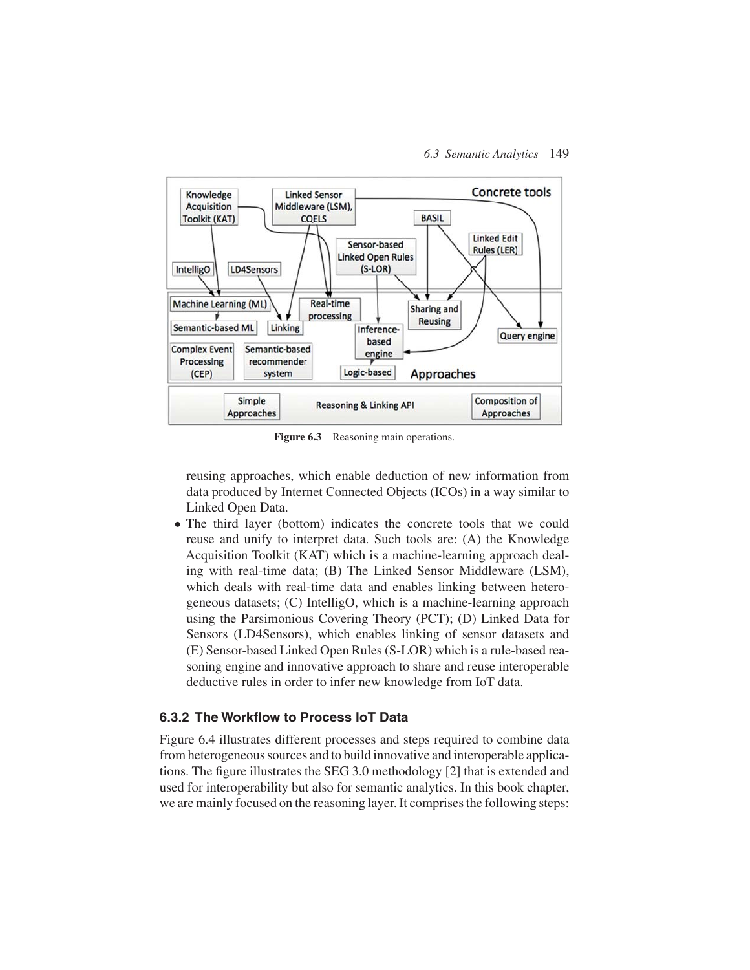

Figure 6.3 Reasoning main operations.

reusing approaches, which enable deduction of new information from data produced by Internet Connected Objects (ICOs) in a way similar to Linked Open Data.

• The third layer (bottom) indicates the concrete tools that we could reuse and unify to interpret data. Such tools are: (A) the Knowledge Acquisition Toolkit (KAT) which is a machine-learning approach dealing with real-time data; (B) The Linked Sensor Middleware (LSM), which deals with real-time data and enables linking between heterogeneous datasets; (C) IntelligO, which is a machine-learning approach using the Parsimonious Covering Theory (PCT); (D) Linked Data for Sensors (LD4Sensors), which enables linking of sensor datasets and (E) Sensor-based Linked Open Rules (S-LOR) which is a rule-based reasoning engine and innovative approach to share and reuse interoperable deductive rules in order to infer new knowledge from IoT data.

### **6.3.2 The Workflow to Process IoT Data**

Figure 6.4 illustrates different processes and steps required to combine data from heterogeneous sources and to build innovative and interoperable applications. The figure illustrates the SEG 3.0 methodology [2] that is extended and used for interoperability but also for semantic analytics. In this book chapter, we are mainly focused on the reasoning layer. It comprises the following steps: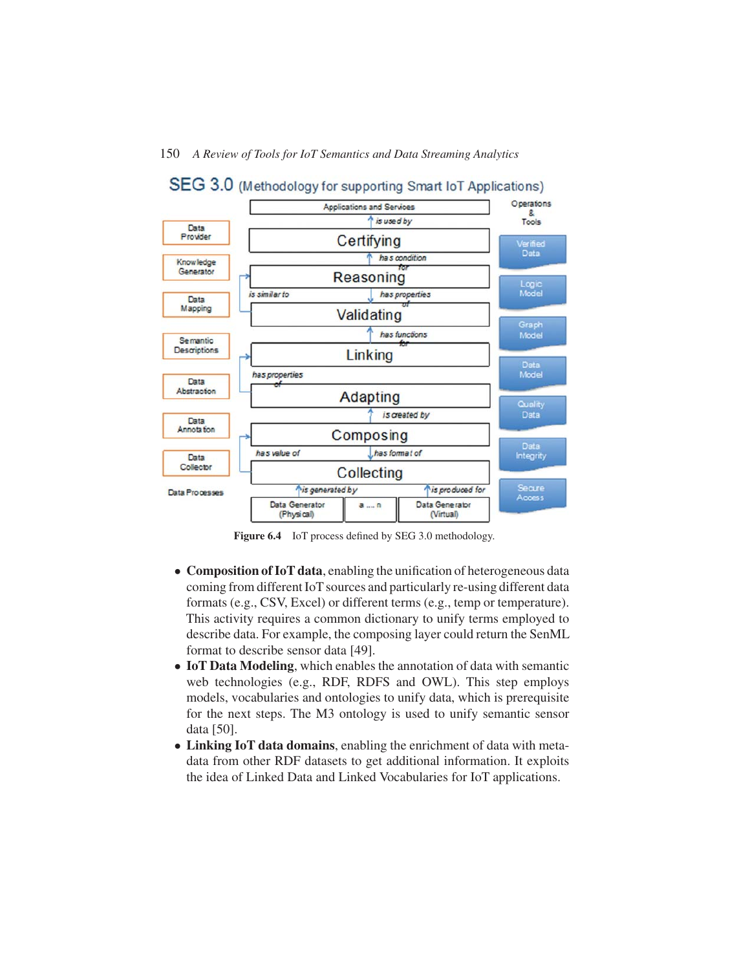

Figure 6.4 IoT process defined by SEG 3.0 methodology.

- **Composition of IoT data**, enabling the unification of heterogeneous data coming from different IoT sources and particularly re-using different data formats (e.g., CSV, Excel) or different terms (e.g., temp or temperature). This activity requires a common dictionary to unify terms employed to describe data. For example, the composing layer could return the SenML format to describe sensor data [49].
- **IoT Data Modeling**, which enables the annotation of data with semantic web technologies (e.g., RDF, RDFS and OWL). This step employs models, vocabularies and ontologies to unify data, which is prerequisite for the next steps. The M3 ontology is used to unify semantic sensor data [50].
- **Linking IoT data domains**, enabling the enrichment of data with metadata from other RDF datasets to get additional information. It exploits the idea of Linked Data and Linked Vocabularies for IoT applications.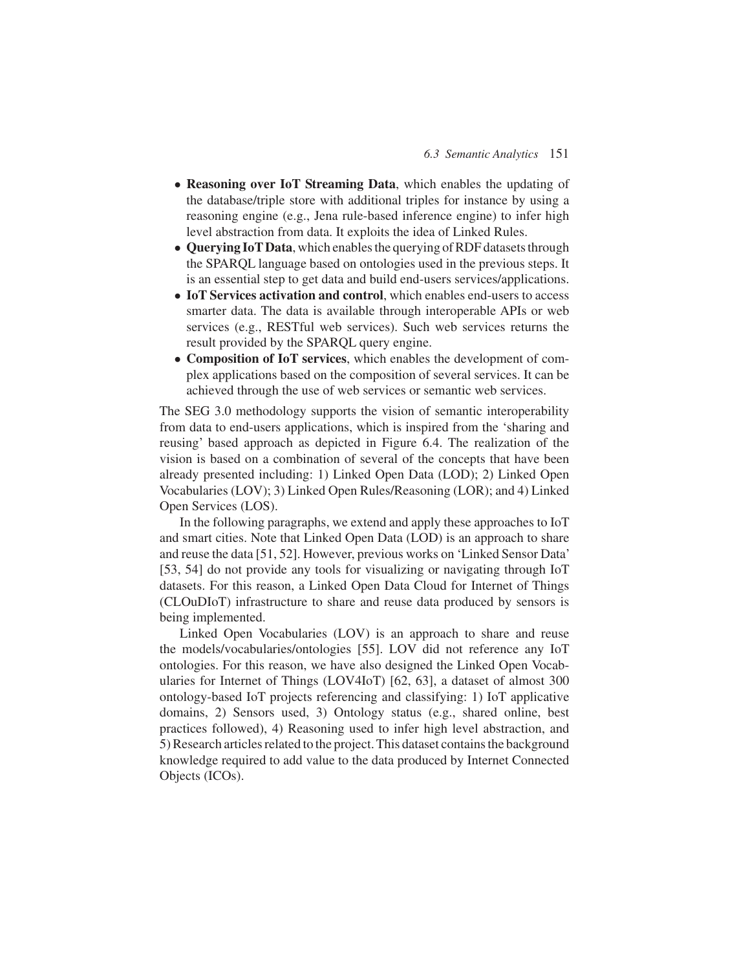- **Reasoning over IoT Streaming Data**, which enables the updating of the database/triple store with additional triples for instance by using a reasoning engine (e.g., Jena rule-based inference engine) to infer high level abstraction from data. It exploits the idea of Linked Rules.
- **Querying IoT Data**, which enables the querying of RDF datasets through the SPARQL language based on ontologies used in the previous steps. It is an essential step to get data and build end-users services/applications.
- **IoT Services activation and control**, which enables end-users to access smarter data. The data is available through interoperable APIs or web services (e.g., RESTful web services). Such web services returns the result provided by the SPARQL query engine.
- **Composition of IoT services**, which enables the development of complex applications based on the composition of several services. It can be achieved through the use of web services or semantic web services.

The SEG 3.0 methodology supports the vision of semantic interoperability from data to end-users applications, which is inspired from the 'sharing and reusing' based approach as depicted in Figure 6.4. The realization of the vision is based on a combination of several of the concepts that have been already presented including: 1) Linked Open Data (LOD); 2) Linked Open Vocabularies (LOV); 3) Linked Open Rules/Reasoning (LOR); and 4) Linked Open Services (LOS).

In the following paragraphs, we extend and apply these approaches to IoT and smart cities. Note that Linked Open Data (LOD) is an approach to share and reuse the data [51, 52]. However, previous works on 'Linked Sensor Data' [53, 54] do not provide any tools for visualizing or navigating through IoT datasets. For this reason, a Linked Open Data Cloud for Internet of Things (CLOuDIoT) infrastructure to share and reuse data produced by sensors is being implemented.

Linked Open Vocabularies (LOV) is an approach to share and reuse the models/vocabularies/ontologies [55]. LOV did not reference any IoT ontologies. For this reason, we have also designed the Linked Open Vocabularies for Internet of Things (LOV4IoT) [62, 63], a dataset of almost 300 ontology-based IoT projects referencing and classifying: 1) IoT applicative domains, 2) Sensors used, 3) Ontology status (e.g., shared online, best practices followed), 4) Reasoning used to infer high level abstraction, and 5) Research articles related to the project. This dataset contains the background knowledge required to add value to the data produced by Internet Connected Objects (ICOs).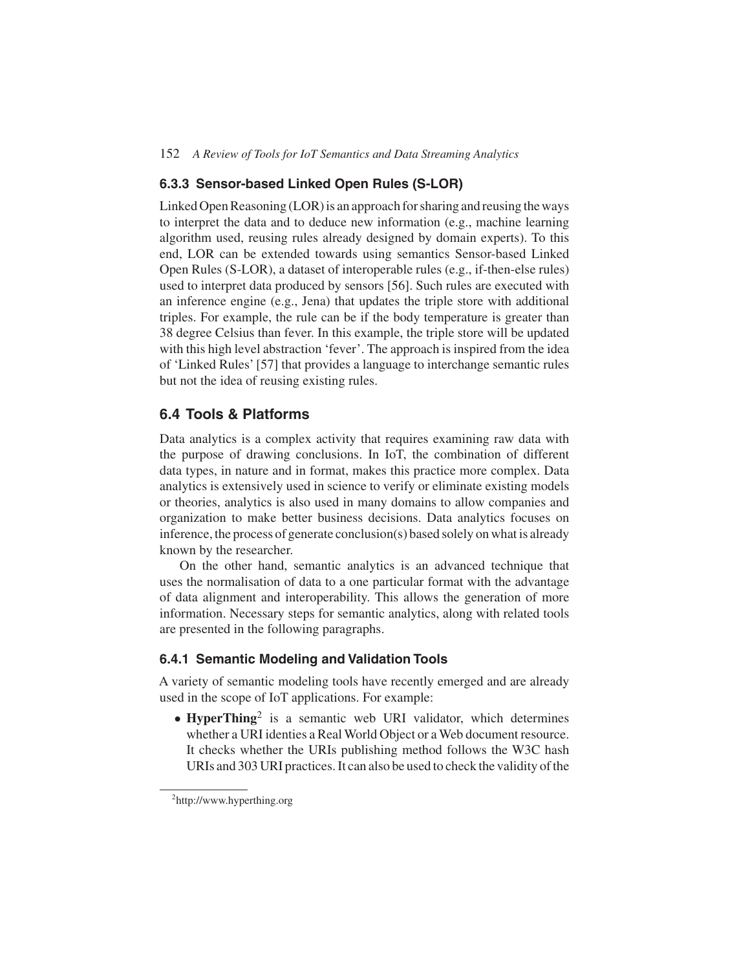#### **6.3.3 Sensor-based Linked Open Rules (S-LOR)**

Linked Open Reasoning (LOR) is an approach for sharing and reusing the ways to interpret the data and to deduce new information (e.g., machine learning algorithm used, reusing rules already designed by domain experts). To this end, LOR can be extended towards using semantics Sensor-based Linked Open Rules (S-LOR), a dataset of interoperable rules (e.g., if-then-else rules) used to interpret data produced by sensors [56]. Such rules are executed with an inference engine (e.g., Jena) that updates the triple store with additional triples. For example, the rule can be if the body temperature is greater than 38 degree Celsius than fever. In this example, the triple store will be updated with this high level abstraction 'fever'. The approach is inspired from the idea of 'Linked Rules' [57] that provides a language to interchange semantic rules but not the idea of reusing existing rules.

## **6.4 Tools & Platforms**

Data analytics is a complex activity that requires examining raw data with the purpose of drawing conclusions. In IoT, the combination of different data types, in nature and in format, makes this practice more complex. Data analytics is extensively used in science to verify or eliminate existing models or theories, analytics is also used in many domains to allow companies and organization to make better business decisions. Data analytics focuses on inference, the process of generate conclusion(s) based solely on what is already known by the researcher.

On the other hand, semantic analytics is an advanced technique that uses the normalisation of data to a one particular format with the advantage of data alignment and interoperability. This allows the generation of more information. Necessary steps for semantic analytics, along with related tools are presented in the following paragraphs.

#### **6.4.1 Semantic Modeling and Validation Tools**

A variety of semantic modeling tools have recently emerged and are already used in the scope of IoT applications. For example:

• **HyperThing**<sup>2</sup> is a semantic web URI validator, which determines whether a URI identies a Real World Object or a Web document resource. It checks whether the URIs publishing method follows the W3C hash URIs and 303 URI practices. It can also be used to check the validity of the

<sup>2</sup> http://www.hyperthing.org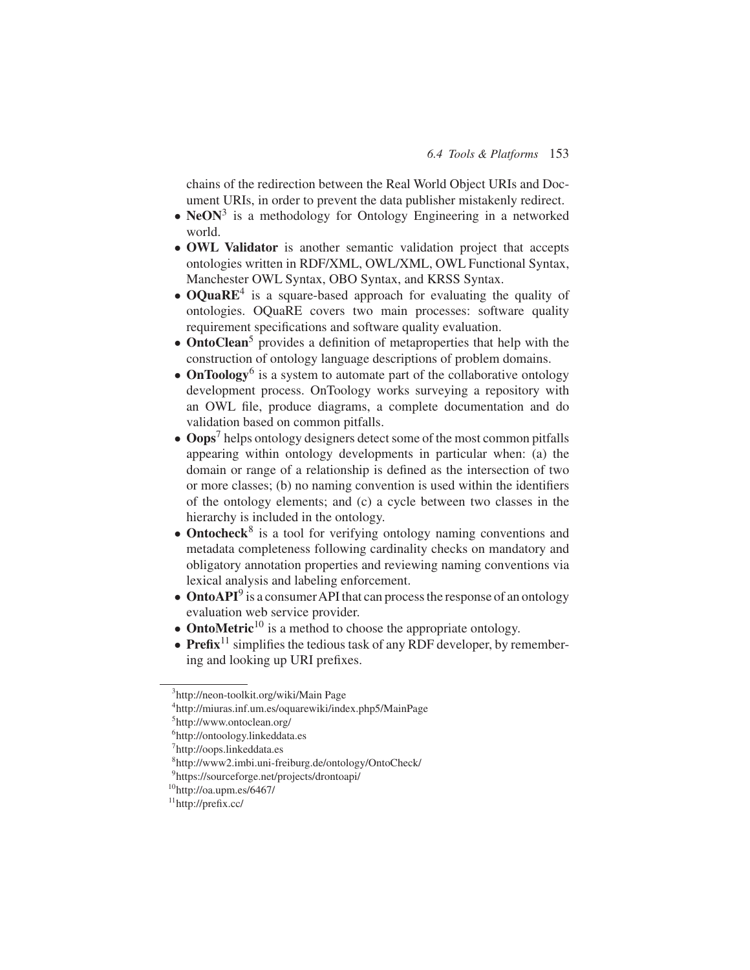chains of the redirection between the Real World Object URIs and Document URIs, in order to prevent the data publisher mistakenly redirect.

- **NeON<sup>3</sup>** is a methodology for Ontology Engineering in a networked world.
- **OWL Validator** is another semantic validation project that accepts ontologies written in RDF/XML, OWL/XML, OWL Functional Syntax, Manchester OWL Syntax, OBO Syntax, and KRSS Syntax.
- **OQuaRE<sup>4</sup>** is a square-based approach for evaluating the quality of ontologies. OQuaRE covers two main processes: software quality requirement specifications and software quality evaluation.
- **OntoClean**<sup>5</sup> provides a definition of metaproperties that help with the construction of ontology language descriptions of problem domains.
- **OnToology**<sup>6</sup> is a system to automate part of the collaborative ontology development process. OnToology works surveying a repository with an OWL file, produce diagrams, a complete documentation and do validation based on common pitfalls.
- **Oops**<sup>7</sup> helps ontology designers detect some of the most common pitfalls appearing within ontology developments in particular when: (a) the domain or range of a relationship is defined as the intersection of two or more classes; (b) no naming convention is used within the identifiers of the ontology elements; and (c) a cycle between two classes in the hierarchy is included in the ontology.
- **Ontocheck**<sup>8</sup> is a tool for verifying ontology naming conventions and metadata completeness following cardinality checks on mandatory and obligatory annotation properties and reviewing naming conventions via lexical analysis and labeling enforcement.
- **OntoAPI**<sup>9</sup> is a consumer API that can process the response of an ontology evaluation web service provider.
- **OntoMetric**<sup>10</sup> is a method to choose the appropriate ontology.
- $\bullet$  **Prefix**<sup>11</sup> simplifies the tedious task of any RDF developer, by remembering and looking up URI prefixes.

<sup>3</sup> http://neon-toolkit.org/wiki/Main Page

<sup>4</sup> http://miuras.inf.um.es/oquarewiki/index.php5/MainPage

<sup>5</sup> http://www.ontoclean.org/

<sup>6</sup> http://ontoology.linkeddata.es

<sup>&</sup>lt;sup>7</sup>http://oops.linkeddata.es

<sup>8</sup> http://www2.imbi.uni-freiburg.de/ontology/OntoCheck/

<sup>9</sup> https://sourceforge.net/projects/drontoapi/

 $10$ http://oa.upm.es/6467/

<sup>11</sup>http://prefix.cc/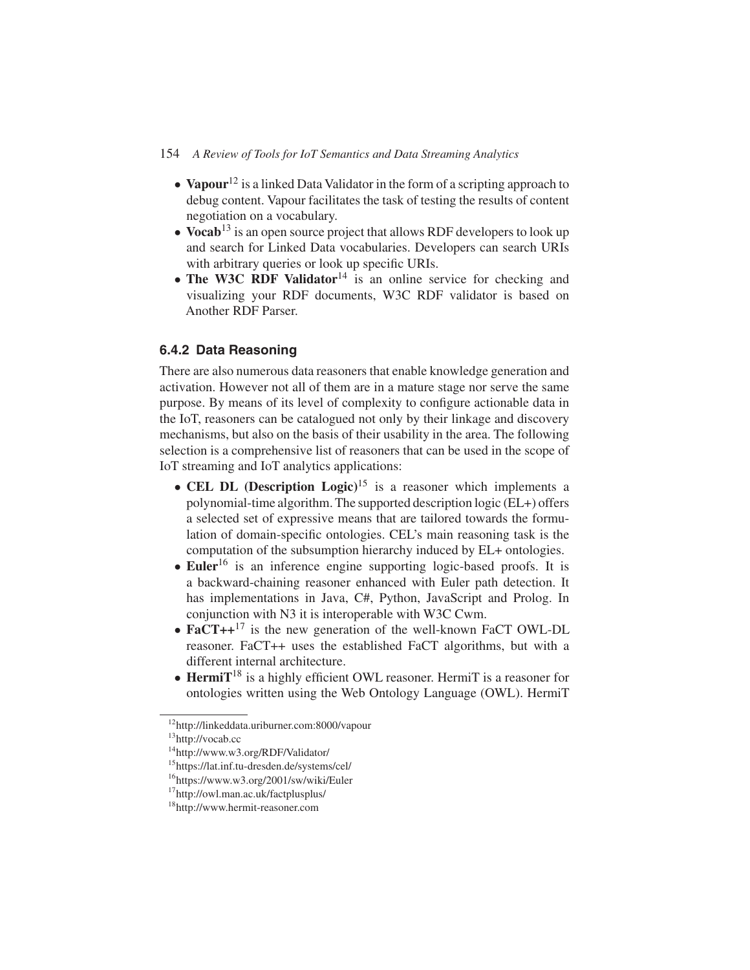- **Vapour**<sup>12</sup> is a linked Data Validator in the form of a scripting approach to debug content. Vapour facilitates the task of testing the results of content negotiation on a vocabulary.
- **Vocab<sup>13</sup>** is an open source project that allows RDF developers to look up and search for Linked Data vocabularies. Developers can search URIs with arbitrary queries or look up specific URIs.
- **The W3C RDF Validator**<sup>14</sup> is an online service for checking and visualizing your RDF documents, W3C RDF validator is based on Another RDF Parser.

## **6.4.2 Data Reasoning**

There are also numerous data reasoners that enable knowledge generation and activation. However not all of them are in a mature stage nor serve the same purpose. By means of its level of complexity to configure actionable data in the IoT, reasoners can be catalogued not only by their linkage and discovery mechanisms, but also on the basis of their usability in the area. The following selection is a comprehensive list of reasoners that can be used in the scope of IoT streaming and IoT analytics applications:

- **CEL DL (Description Logic)**<sup>15</sup> is a reasoner which implements a polynomial-time algorithm. The supported description logic (EL+) offers a selected set of expressive means that are tailored towards the formulation of domain-specific ontologies. CEL's main reasoning task is the computation of the subsumption hierarchy induced by EL+ ontologies.
- **Euler**<sup>16</sup> is an inference engine supporting logic-based proofs. It is a backward-chaining reasoner enhanced with Euler path detection. It has implementations in Java, C#, Python, JavaScript and Prolog. In conjunction with N3 it is interoperable with W3C Cwm.
- **FaCT++**<sup>17</sup> is the new generation of the well-known FaCT OWL-DL reasoner. FaCT++ uses the established FaCT algorithms, but with a different internal architecture.
- **HermiT**<sup>18</sup> is a highly efficient OWL reasoner. HermiT is a reasoner for ontologies written using the Web Ontology Language (OWL). HermiT

<sup>12</sup>http://linkeddata.uriburner.com:8000/vapour

<sup>13</sup>http://vocab.cc

<sup>14</sup>http://www.w3.org/RDF/Validator/

<sup>15</sup>https://lat.inf.tu-dresden.de/systems/cel/

<sup>16</sup>https://www.w3.org/2001/sw/wiki/Euler

<sup>17</sup>http://owl.man.ac.uk/factplusplus/

<sup>18</sup>http://www.hermit-reasoner.com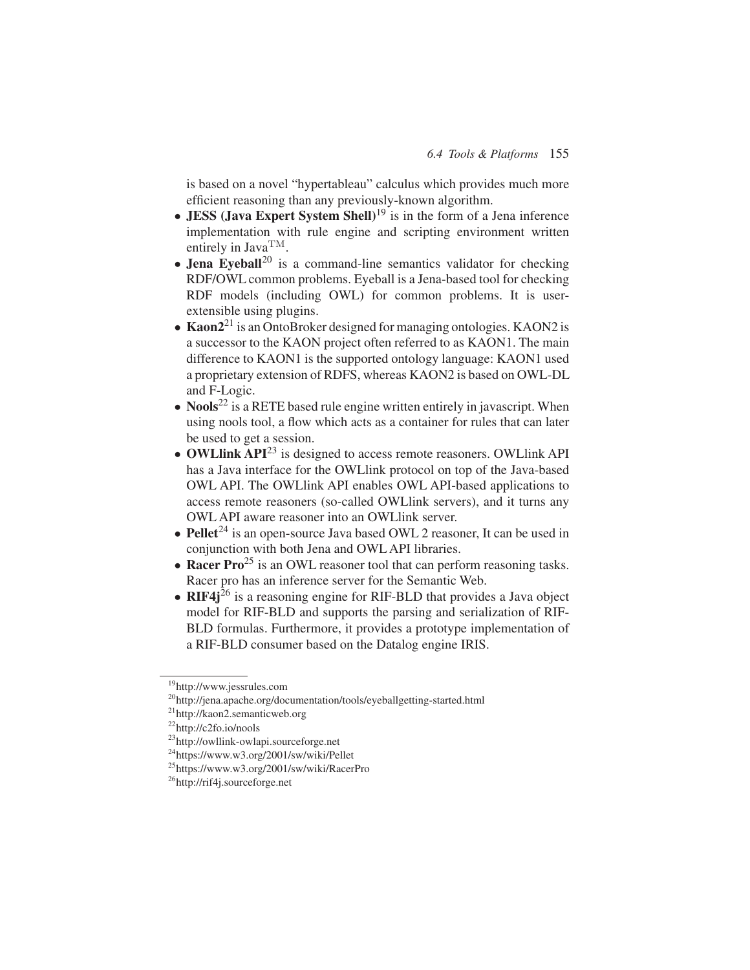is based on a novel "hypertableau" calculus which provides much more efficient reasoning than any previously-known algorithm.

- **JESS** (**Java Expert System Shell**)<sup>19</sup> is in the form of a Jena inference implementation with rule engine and scripting environment written entirely in JavaTM.
- **Jena Eyeball**<sup>20</sup> is a command-line semantics validator for checking RDF/OWL common problems. Eyeball is a Jena-based tool for checking RDF models (including OWL) for common problems. It is userextensible using plugins.
- **Kaon<sup>2<sup>21</sup>** is an OntoBroker designed for managing ontologies. KAON2 is</sup> a successor to the KAON project often referred to as KAON1. The main difference to KAON1 is the supported ontology language: KAON1 used a proprietary extension of RDFS, whereas KAON2 is based on OWL-DL and F-Logic.
- **Nools**<sup>22</sup> is a RETE based rule engine written entirely in javascript. When using nools tool, a flow which acts as a container for rules that can later be used to get a session.
- **OWLlink API**<sup>23</sup> is designed to access remote reasoners. OWLlink API has a Java interface for the OWLlink protocol on top of the Java-based OWL API. The OWLlink API enables OWL API-based applications to access remote reasoners (so-called OWLlink servers), and it turns any OWL API aware reasoner into an OWLlink server.
- **Pellet**<sup>24</sup> is an open-source Java based OWL 2 reasoner, It can be used in conjunction with both Jena and OWL API libraries.
- **Racer Pro**<sup>25</sup> is an OWL reasoner tool that can perform reasoning tasks. Racer pro has an inference server for the Semantic Web.
- **RIF4j** $^{26}$  is a reasoning engine for RIF-BLD that provides a Java object model for RIF-BLD and supports the parsing and serialization of RIF-BLD formulas. Furthermore, it provides a prototype implementation of a RIF-BLD consumer based on the Datalog engine IRIS.

<sup>19</sup>http://www.jessrules.com

<sup>20</sup>http://jena.apache.org/documentation/tools/eyeballgetting-started.html

<sup>21</sup>http://kaon2.semanticweb.org

<sup>22</sup>http://c2fo.io/nools

<sup>23</sup>http://owllink-owlapi.sourceforge.net

<sup>24</sup>https://www.w3.org/2001/sw/wiki/Pellet

<sup>25</sup>https://www.w3.org/2001/sw/wiki/RacerPro

<sup>26</sup>http://rif4j.sourceforge.net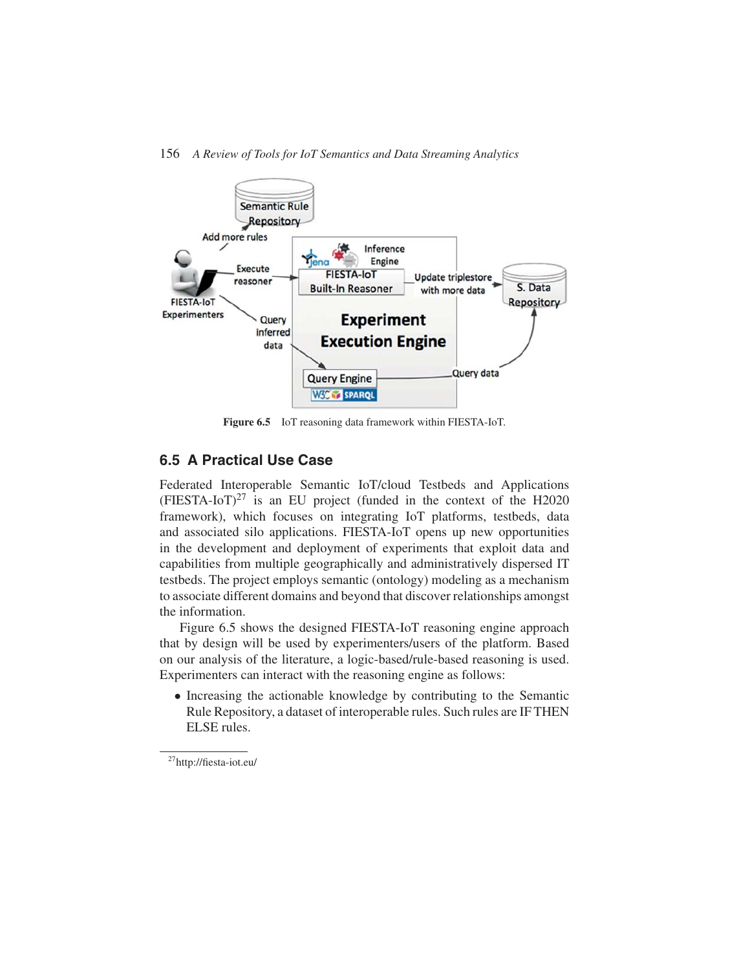

**Figure 6.5** IoT reasoning data framework within FIESTA-IoT.

## **6.5 A Practical Use Case**

Federated Interoperable Semantic IoT/cloud Testbeds and Applications  $(FIESTA-IOT)^{27}$  is an EU project (funded in the context of the H2020 framework), which focuses on integrating IoT platforms, testbeds, data and associated silo applications. FIESTA-IoT opens up new opportunities in the development and deployment of experiments that exploit data and capabilities from multiple geographically and administratively dispersed IT testbeds. The project employs semantic (ontology) modeling as a mechanism to associate different domains and beyond that discover relationships amongst the information.

Figure 6.5 shows the designed FIESTA-IoT reasoning engine approach that by design will be used by experimenters/users of the platform. Based on our analysis of the literature, a logic-based/rule-based reasoning is used. Experimenters can interact with the reasoning engine as follows:

• Increasing the actionable knowledge by contributing to the Semantic Rule Repository, a dataset of interoperable rules. Such rules are IF THEN ELSE rules.

27http://fiesta-iot.eu/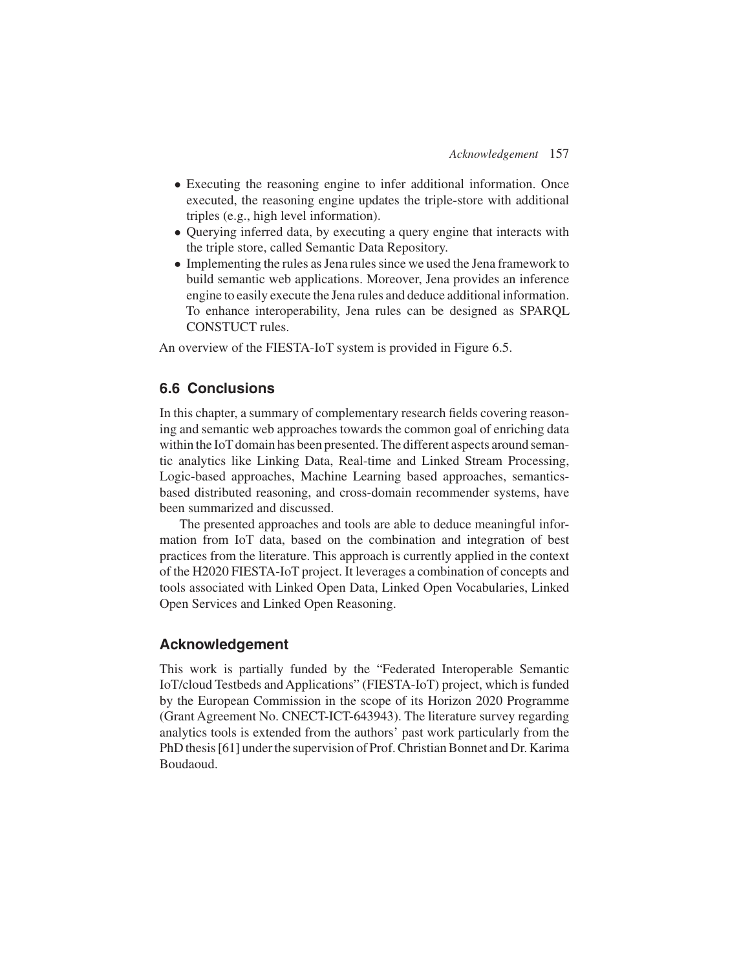- Executing the reasoning engine to infer additional information. Once executed, the reasoning engine updates the triple-store with additional triples (e.g., high level information).
- Querying inferred data, by executing a query engine that interacts with the triple store, called Semantic Data Repository.
- Implementing the rules as Jena rules since we used the Jena framework to build semantic web applications. Moreover, Jena provides an inference engine to easily execute the Jena rules and deduce additional information. To enhance interoperability, Jena rules can be designed as SPARQL CONSTUCT rules.

An overview of the FIESTA-IoT system is provided in Figure 6.5.

### **6.6 Conclusions**

In this chapter, a summary of complementary research fields covering reasoning and semantic web approaches towards the common goal of enriching data within the IoT domain has been presented. The different aspects around semantic analytics like Linking Data, Real-time and Linked Stream Processing, Logic-based approaches, Machine Learning based approaches, semanticsbased distributed reasoning, and cross-domain recommender systems, have been summarized and discussed.

The presented approaches and tools are able to deduce meaningful information from IoT data, based on the combination and integration of best practices from the literature. This approach is currently applied in the context of the H2020 FIESTA-IoT project. It leverages a combination of concepts and tools associated with Linked Open Data, Linked Open Vocabularies, Linked Open Services and Linked Open Reasoning.

### **Acknowledgement**

This work is partially funded by the "Federated Interoperable Semantic IoT/cloud Testbeds and Applications" (FIESTA-IoT) project, which is funded by the European Commission in the scope of its Horizon 2020 Programme (Grant Agreement No. CNECT-ICT-643943). The literature survey regarding analytics tools is extended from the authors' past work particularly from the PhD thesis [61] under the supervision of Prof. Christian Bonnet and Dr. Karima Boudaoud.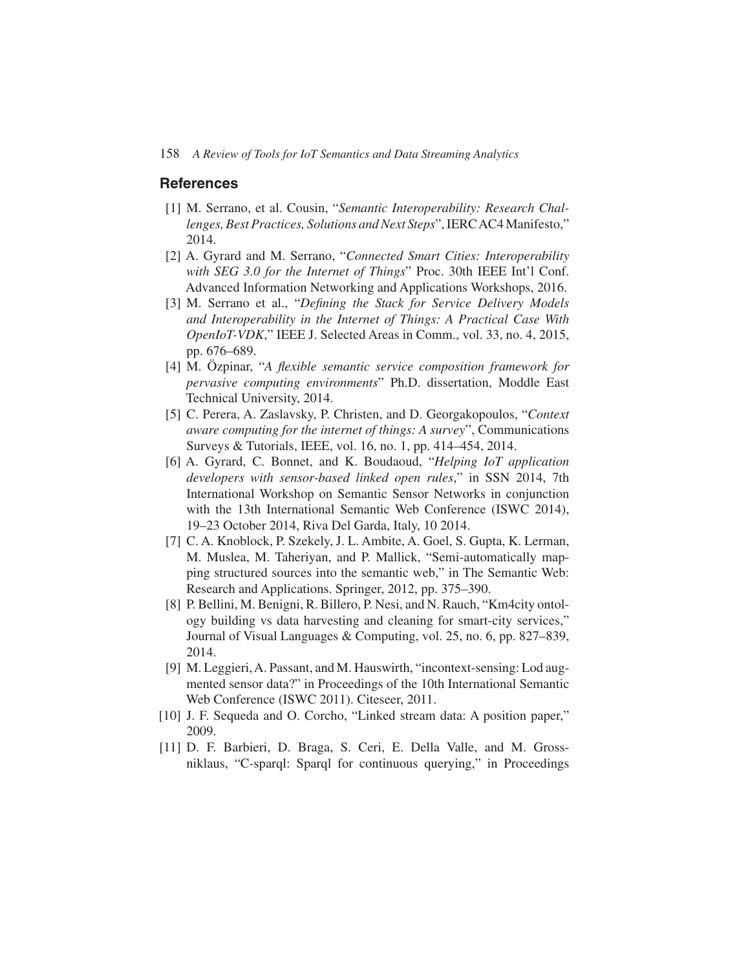#### **References**

- [1] M. Serrano, et al. Cousin, "Semantic Interoperability: Research Chal*lenges, Best Practices, Solutions and Next Steps*", IERCAC4 Manifesto," 2014.
- [2] A. Gyrard and M. Serrano, "*Connected Smart Cities: Interoperability with SEG 3.0 for the Internet of Things*" Proc. 30th IEEE Int'l Conf. Advanced Information Networking and Applications Workshops, 2016.
- [3] M. Serrano et al., "*Defining the Stack for Service Delivery Models and Interoperability in the Internet of Things: A Practical Case With OpenIoT-VDK*," IEEE J. Selected Areas in Comm., vol. 33, no. 4, 2015, pp. 676–689.
- [4] M. Özpinar, "*A flexible semantic service composition framework for pervasive computing environments*" Ph.D. dissertation, Moddle East Technical University, 2014.
- [5] C. Perera, A. Zaslavsky, P. Christen, and D. Georgakopoulos, "*Context aware computing for the internet of things: A survey*", Communications Surveys & Tutorials, IEEE, vol. 16, no. 1, pp. 414–454, 2014.
- [6] A. Gyrard, C. Bonnet, and K. Boudaoud, "*Helping IoT application developers with sensor-based linked open rules*," in SSN 2014, 7th International Workshop on Semantic Sensor Networks in conjunction with the 13th International Semantic Web Conference (ISWC 2014), 19–23 October 2014, Riva Del Garda, Italy, 10 2014.
- [7] C. A. Knoblock, P. Szekely, J. L. Ambite, A. Goel, S. Gupta, K. Lerman, M. Muslea, M. Taheriyan, and P. Mallick, "Semi-automatically mapping structured sources into the semantic web," in The Semantic Web: Research and Applications. Springer, 2012, pp. 375–390.
- [8] P. Bellini, M. Benigni, R. Billero, P. Nesi, and N. Rauch, "Km4city ontology building vs data harvesting and cleaning for smart-city services," Journal of Visual Languages & Computing, vol. 25, no. 6, pp. 827–839, 2014.
- [9] M. Leggieri, A. Passant, and M. Hauswirth, "incontext-sensing: Lod augmented sensor data?" in Proceedings of the 10th International Semantic Web Conference (ISWC 2011). Citeseer, 2011.
- [10] J. F. Sequeda and O. Corcho, "Linked stream data: A position paper," 2009.
- [11] D. F. Barbieri, D. Braga, S. Ceri, E. Della Valle, and M. Grossniklaus, "C-sparql: Sparql for continuous querying," in Proceedings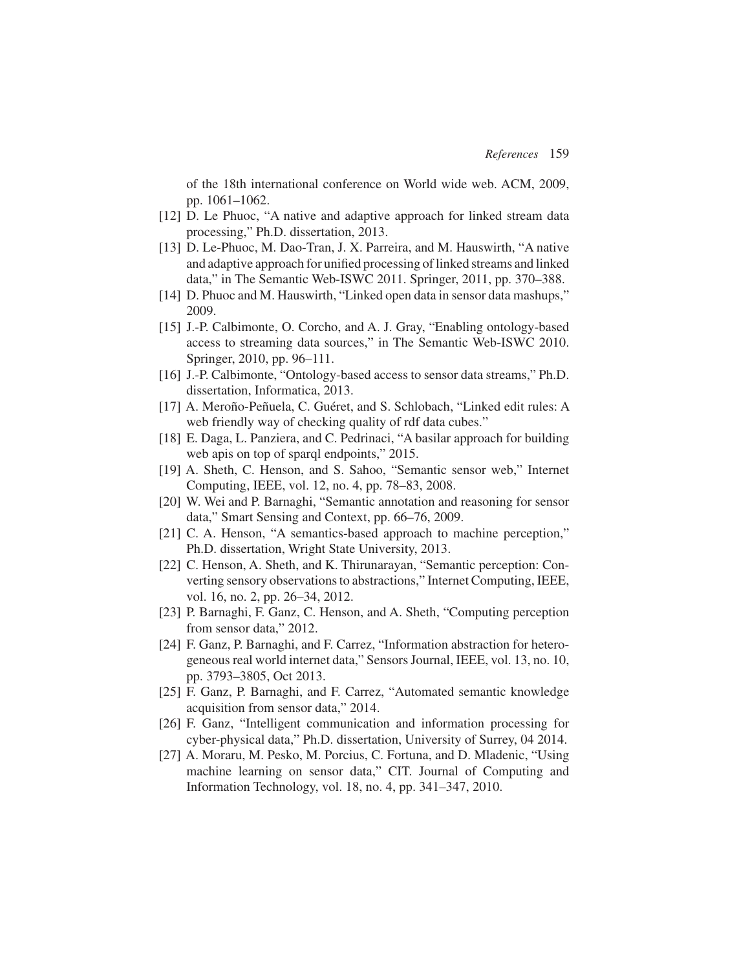of the 18th international conference on World wide web. ACM, 2009, pp. 1061–1062.

- [12] D. Le Phuoc, "A native and adaptive approach for linked stream data processing," Ph.D. dissertation, 2013.
- [13] D. Le-Phuoc, M. Dao-Tran, J. X. Parreira, and M. Hauswirth, "A native and adaptive approach for unified processing of linked streams and linked data," in The Semantic Web-ISWC 2011. Springer, 2011, pp. 370–388.
- [14] D. Phuoc and M. Hauswirth, "Linked open data in sensor data mashups," 2009.
- [15] J.-P. Calbimonte, O. Corcho, and A. J. Gray, "Enabling ontology-based access to streaming data sources," in The Semantic Web-ISWC 2010. Springer, 2010, pp. 96–111.
- [16] J.-P. Calbimonte, "Ontology-based access to sensor data streams," Ph.D. dissertation, Informatica, 2013.
- [17] A. Meroño-Peñuela, C. Guéret, and S. Schlobach, "Linked edit rules: A web friendly way of checking quality of rdf data cubes."
- [18] E. Daga, L. Panziera, and C. Pedrinaci, "A basilar approach for building web apis on top of sparql endpoints," 2015.
- [19] A. Sheth, C. Henson, and S. Sahoo, "Semantic sensor web," Internet Computing, IEEE, vol. 12, no. 4, pp. 78–83, 2008.
- [20] W. Wei and P. Barnaghi, "Semantic annotation and reasoning for sensor data," Smart Sensing and Context, pp. 66–76, 2009.
- [21] C. A. Henson, "A semantics-based approach to machine perception," Ph.D. dissertation, Wright State University, 2013.
- [22] C. Henson, A. Sheth, and K. Thirunarayan, "Semantic perception: Converting sensory observations to abstractions," Internet Computing, IEEE, vol. 16, no. 2, pp. 26–34, 2012.
- [23] P. Barnaghi, F. Ganz, C. Henson, and A. Sheth, "Computing perception from sensor data," 2012.
- [24] F. Ganz, P. Barnaghi, and F. Carrez, "Information abstraction for heterogeneous real world internet data," Sensors Journal, IEEE, vol. 13, no. 10, pp. 3793–3805, Oct 2013.
- [25] F. Ganz, P. Barnaghi, and F. Carrez, "Automated semantic knowledge acquisition from sensor data," 2014.
- [26] F. Ganz, "Intelligent communication and information processing for cyber-physical data," Ph.D. dissertation, University of Surrey, 04 2014.
- [27] A. Moraru, M. Pesko, M. Porcius, C. Fortuna, and D. Mladenic, "Using machine learning on sensor data," CIT. Journal of Computing and Information Technology, vol. 18, no. 4, pp. 341–347, 2010.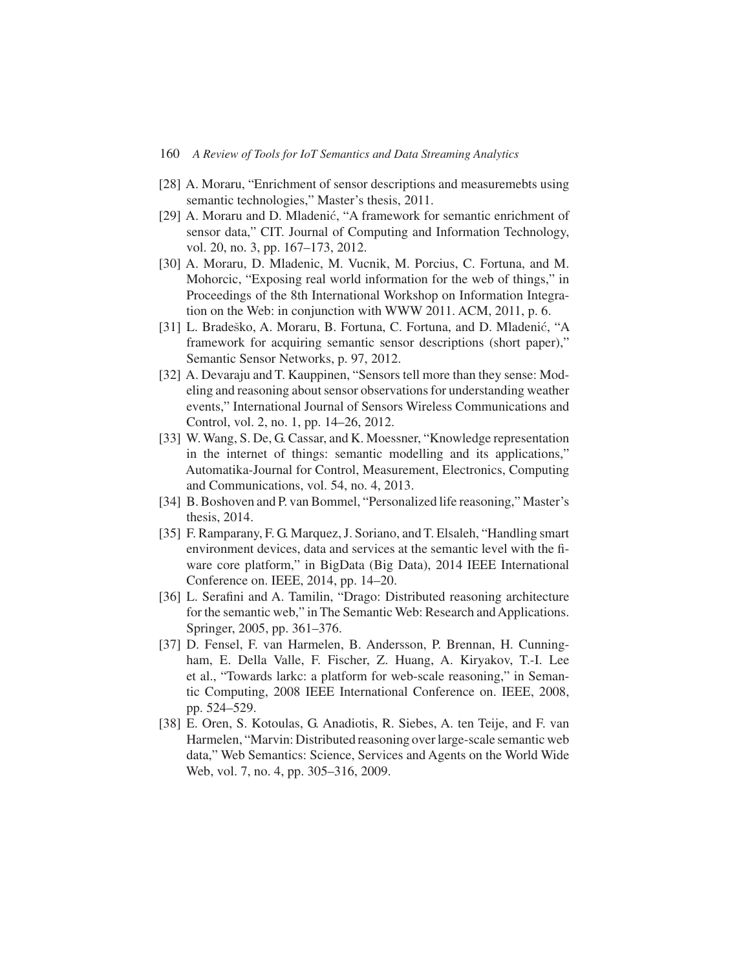- [28] A. Moraru, "Enrichment of sensor descriptions and measuremebts using semantic technologies," Master's thesis, 2011.
- [29] A. Moraru and D. Mladenić, "A framework for semantic enrichment of sensor data," CIT. Journal of Computing and Information Technology, vol. 20, no. 3, pp. 167–173, 2012.
- [30] A. Moraru, D. Mladenic, M. Vucnik, M. Porcius, C. Fortuna, and M. Mohorcic, "Exposing real world information for the web of things," in Proceedings of the 8th International Workshop on Information Integration on the Web: in conjunction with WWW 2011. ACM, 2011, p. 6.
- [31] L. Bradeško, A. Moraru, B. Fortuna, C. Fortuna, and D. Mladenić, "A framework for acquiring semantic sensor descriptions (short paper)," Semantic Sensor Networks, p. 97, 2012.
- [32] A. Devaraju and T. Kauppinen, "Sensors tell more than they sense: Modeling and reasoning about sensor observations for understanding weather events," International Journal of Sensors Wireless Communications and Control, vol. 2, no. 1, pp. 14–26, 2012.
- [33] W. Wang, S. De, G. Cassar, and K. Moessner, "Knowledge representation in the internet of things: semantic modelling and its applications," Automatika-Journal for Control, Measurement, Electronics, Computing and Communications, vol. 54, no. 4, 2013.
- [34] B. Boshoven and P. van Bommel, "Personalized life reasoning," Master's thesis, 2014.
- [35] F. Ramparany, F. G. Marquez, J. Soriano, and T. Elsaleh, "Handling smart environment devices, data and services at the semantic level with the fiware core platform," in BigData (Big Data), 2014 IEEE International Conference on. IEEE, 2014, pp. 14–20.
- [36] L. Serafini and A. Tamilin, "Drago: Distributed reasoning architecture for the semantic web," in The Semantic Web: Research and Applications. Springer, 2005, pp. 361–376.
- [37] D. Fensel, F. van Harmelen, B. Andersson, P. Brennan, H. Cunningham, E. Della Valle, F. Fischer, Z. Huang, A. Kiryakov, T.-I. Lee et al., "Towards larkc: a platform for web-scale reasoning," in Semantic Computing, 2008 IEEE International Conference on. IEEE, 2008, pp. 524–529.
- [38] E. Oren, S. Kotoulas, G. Anadiotis, R. Siebes, A. ten Teije, and F. van Harmelen, "Marvin: Distributed reasoning over large-scale semantic web data," Web Semantics: Science, Services and Agents on the World Wide Web, vol. 7, no. 4, pp. 305–316, 2009.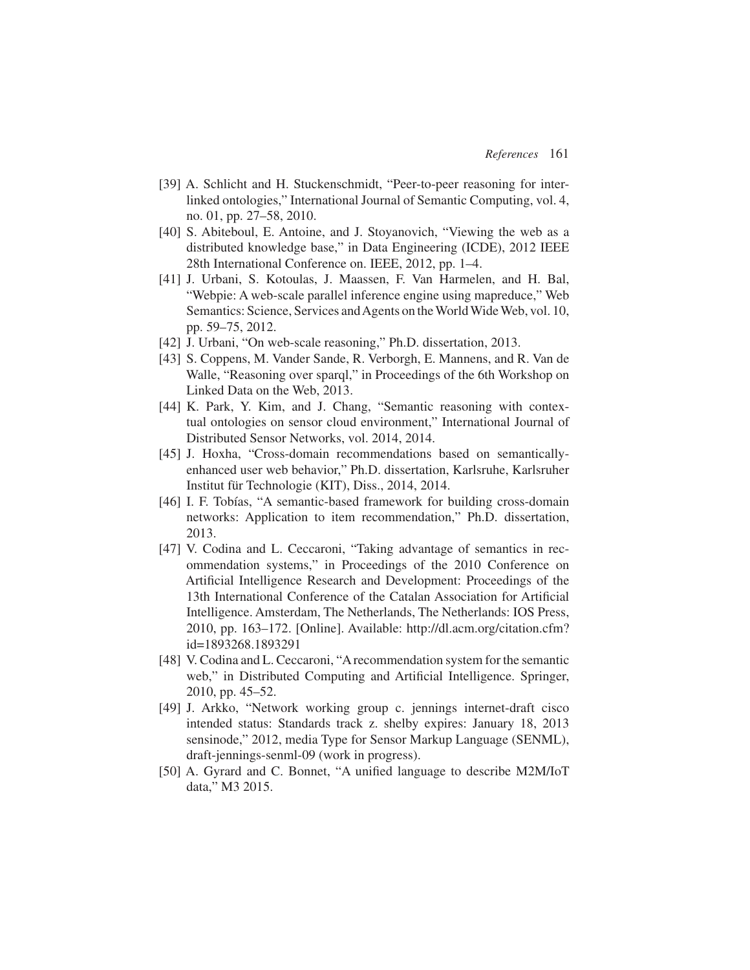- [39] A. Schlicht and H. Stuckenschmidt, "Peer-to-peer reasoning for interlinked ontologies," International Journal of Semantic Computing, vol. 4, no. 01, pp. 27–58, 2010.
- [40] S. Abiteboul, E. Antoine, and J. Stoyanovich, "Viewing the web as a distributed knowledge base," in Data Engineering (ICDE), 2012 IEEE 28th International Conference on. IEEE, 2012, pp. 1–4.
- [41] J. Urbani, S. Kotoulas, J. Maassen, F. Van Harmelen, and H. Bal, "Webpie: A web-scale parallel inference engine using mapreduce," Web Semantics: Science, Services and Agents on the World Wide Web, vol. 10, pp. 59–75, 2012.
- [42] J. Urbani, "On web-scale reasoning," Ph.D. dissertation, 2013.
- [43] S. Coppens, M. Vander Sande, R. Verborgh, E. Mannens, and R. Van de Walle, "Reasoning over sparql," in Proceedings of the 6th Workshop on Linked Data on the Web, 2013.
- [44] K. Park, Y. Kim, and J. Chang, "Semantic reasoning with contextual ontologies on sensor cloud environment," International Journal of Distributed Sensor Networks, vol. 2014, 2014.
- [45] J. Hoxha, "Cross-domain recommendations based on semanticallyenhanced user web behavior," Ph.D. dissertation, Karlsruhe, Karlsruher Institut für Technologie (KIT), Diss., 2014, 2014.
- [46] I. F. Tobías, "A semantic-based framework for building cross-domain networks: Application to item recommendation," Ph.D. dissertation, 2013.
- [47] V. Codina and L. Ceccaroni, "Taking advantage of semantics in recommendation systems," in Proceedings of the 2010 Conference on Artificial Intelligence Research and Development: Proceedings of the 13th International Conference of the Catalan Association for Artificial Intelligence. Amsterdam, The Netherlands, The Netherlands: IOS Press, 2010, pp. 163–172. [Online]. Available: http://dl.acm.org/citation.cfm? id=1893268.1893291
- [48] V. Codina and L. Ceccaroni, "A recommendation system for the semantic web," in Distributed Computing and Artificial Intelligence. Springer, 2010, pp. 45–52.
- [49] J. Arkko, "Network working group c. jennings internet-draft cisco intended status: Standards track z. shelby expires: January 18, 2013 sensinode," 2012, media Type for Sensor Markup Language (SENML), draft-jennings-senml-09 (work in progress).
- [50] A. Gyrard and C. Bonnet, "A unified language to describe M2M/IoT data," M3 2015.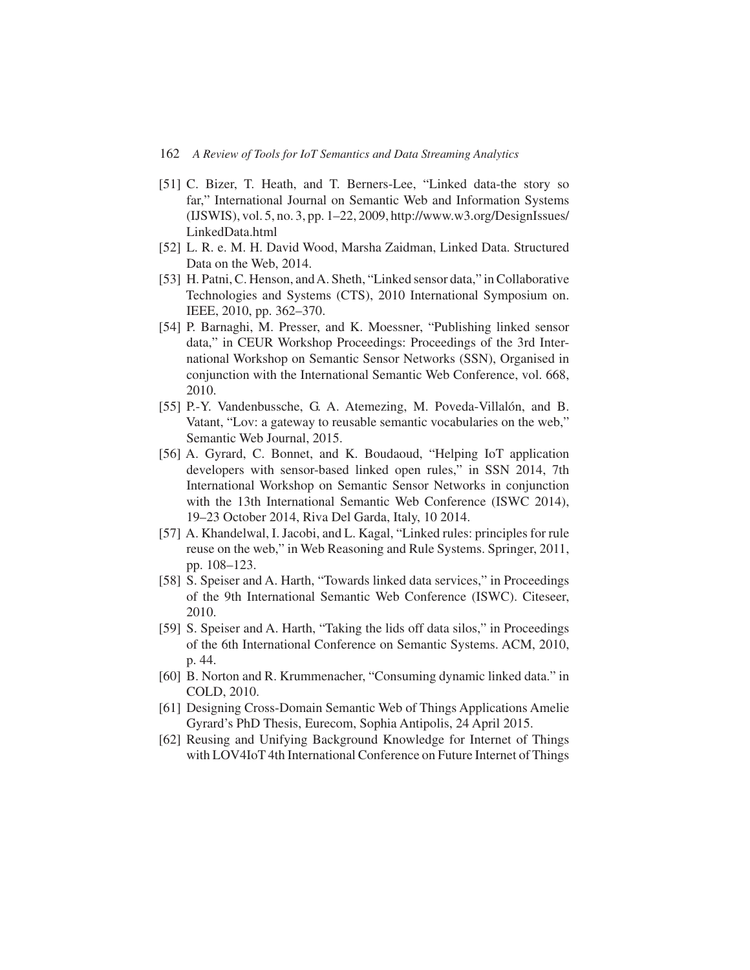- [51] C. Bizer, T. Heath, and T. Berners-Lee, "Linked data-the story so far," International Journal on Semantic Web and Information Systems (IJSWIS), vol. 5, no. 3, pp. 1–22, 2009, http://www.w3.org/DesignIssues/ LinkedData.html
- [52] L. R. e. M. H. David Wood, Marsha Zaidman, Linked Data. Structured Data on the Web, 2014.
- [53] H. Patni, C. Henson, and A. Sheth, "Linked sensor data," in Collaborative Technologies and Systems (CTS), 2010 International Symposium on. IEEE, 2010, pp. 362–370.
- [54] P. Barnaghi, M. Presser, and K. Moessner, "Publishing linked sensor data," in CEUR Workshop Proceedings: Proceedings of the 3rd International Workshop on Semantic Sensor Networks (SSN), Organised in conjunction with the International Semantic Web Conference, vol. 668, 2010.
- [55] P.-Y. Vandenbussche, G. A. Atemezing, M. Poveda-Villalón, and B. Vatant, "Lov: a gateway to reusable semantic vocabularies on the web," Semantic Web Journal, 2015.
- [56] A. Gyrard, C. Bonnet, and K. Boudaoud, "Helping IoT application developers with sensor-based linked open rules," in SSN 2014, 7th International Workshop on Semantic Sensor Networks in conjunction with the 13th International Semantic Web Conference (ISWC 2014), 19–23 October 2014, Riva Del Garda, Italy, 10 2014.
- [57] A. Khandelwal, I. Jacobi, and L. Kagal, "Linked rules: principles for rule reuse on the web," in Web Reasoning and Rule Systems. Springer, 2011, pp. 108–123.
- [58] S. Speiser and A. Harth, "Towards linked data services," in Proceedings of the 9th International Semantic Web Conference (ISWC). Citeseer, 2010.
- [59] S. Speiser and A. Harth, "Taking the lids off data silos," in Proceedings of the 6th International Conference on Semantic Systems. ACM, 2010, p. 44.
- [60] B. Norton and R. Krummenacher, "Consuming dynamic linked data." in COLD, 2010.
- [61] Designing Cross-Domain Semantic Web of Things Applications Amelie Gyrard's PhD Thesis, Eurecom, Sophia Antipolis, 24 April 2015.
- [62] Reusing and Unifying Background Knowledge for Internet of Things with LOV4IoT 4th International Conference on Future Internet of Things